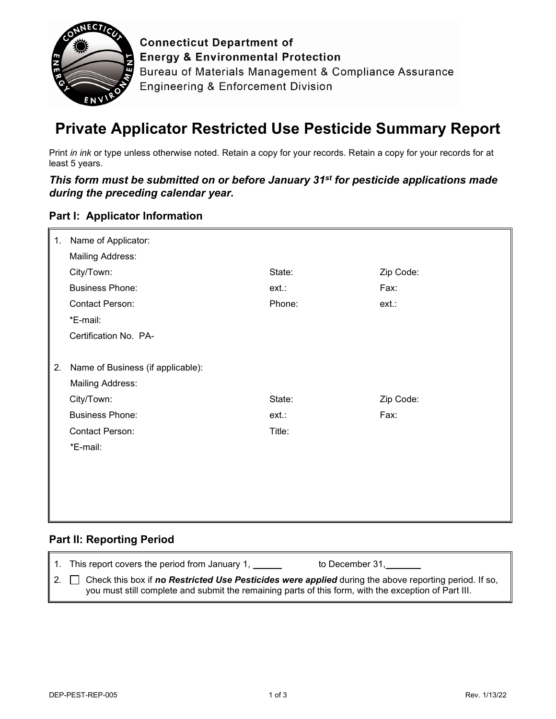

**Connecticut Department of Energy & Environmental Protection** Bureau of Materials Management & Compliance Assurance **Engineering & Enforcement Division** 

# **Private Applicator Restricted Use Pesticide Summary Report**

Print *in ink* or type unless otherwise noted. Retain a copy for your records. Retain a copy for your records for at least 5 years.

*This form must be submitted on or before January 31st for pesticide applications made during the preceding calendar year.*

### **Part I: Applicator Information**

| 1. | Name of Applicator:               |        |           |
|----|-----------------------------------|--------|-----------|
|    | <b>Mailing Address:</b>           |        |           |
|    | City/Town:                        | State: | Zip Code: |
|    | <b>Business Phone:</b>            | ext.   | Fax:      |
|    | Contact Person:                   | Phone: | ext.      |
|    | *E-mail:                          |        |           |
|    | Certification No. PA-             |        |           |
|    |                                   |        |           |
| 2. | Name of Business (if applicable): |        |           |
|    | <b>Mailing Address:</b>           |        |           |
|    | City/Town:                        | State: | Zip Code: |
|    | <b>Business Phone:</b>            | ext.   | Fax:      |
|    | Contact Person:                   | Title: |           |
|    | *E-mail:                          |        |           |
|    |                                   |        |           |
|    |                                   |        |           |
|    |                                   |        |           |
|    |                                   |        |           |

# **Part II: Reporting Period**

| 1. This report covers the period from January 1, 1.<br>to December 31,                                                                                                                                                         |
|--------------------------------------------------------------------------------------------------------------------------------------------------------------------------------------------------------------------------------|
| 2. $\Box$ Check this box if <b>no Restricted Use Pesticides were applied</b> during the above reporting period. If so,<br>you must still complete and submit the remaining parts of this form, with the exception of Part III. |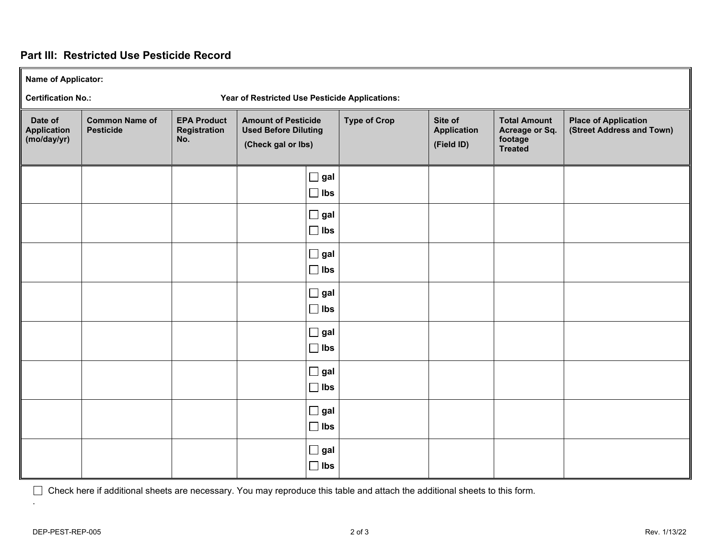# **Part III: Restricted Use Pesticide Record**

**Name of Applicator:** 

**Certification No.: Year of Restricted Use Pesticide Applications:** 

| Date of<br><b>Application</b><br>(moday/yr) | <b>Common Name of</b><br><b>Pesticide</b> | <b>EPA Product</b><br>Registration<br>No. | <b>Amount of Pesticide</b><br><b>Used Before Diluting</b><br>(Check gal or lbs) |                             | <b>Type of Crop</b> | Site of<br><b>Application</b><br>(Field ID) | <b>Total Amount</b><br>Acreage or Sq.<br>footage<br><b>Treated</b> | <b>Place of Application</b><br>(Street Address and Town) |
|---------------------------------------------|-------------------------------------------|-------------------------------------------|---------------------------------------------------------------------------------|-----------------------------|---------------------|---------------------------------------------|--------------------------------------------------------------------|----------------------------------------------------------|
|                                             |                                           |                                           |                                                                                 | $\Box$ gal<br>$\Box$ lbs    |                     |                                             |                                                                    |                                                          |
|                                             |                                           |                                           |                                                                                 | $\Box$ gal<br>$\Box$ lbs    |                     |                                             |                                                                    |                                                          |
|                                             |                                           |                                           |                                                                                 | $\square$ gal<br>$\Box$ lbs |                     |                                             |                                                                    |                                                          |
|                                             |                                           |                                           |                                                                                 | $\Box$ gal<br>$\Box$ lbs    |                     |                                             |                                                                    |                                                          |
|                                             |                                           |                                           |                                                                                 | $\square$ gal<br>$\Box$ lbs |                     |                                             |                                                                    |                                                          |
|                                             |                                           |                                           |                                                                                 | $\Box$ gal<br>$\Box$ lbs    |                     |                                             |                                                                    |                                                          |
|                                             |                                           |                                           |                                                                                 | $\Box$ gal<br>$\Box$ lbs    |                     |                                             |                                                                    |                                                          |
|                                             |                                           |                                           |                                                                                 | $\square$ gal<br>$\Box$ lbs |                     |                                             |                                                                    |                                                          |

Check here if additional sheets are necessary. You may reproduce this table and attach the additional sheets to this form.

.